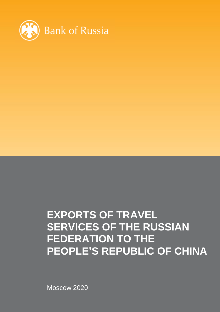

Moscow 2020

## **EXPORTS OF TRAVEL SERVICES OF THE RUSSIAN FEDERATION TO THE PEOPLE'S REPUBLIC OF CHINA**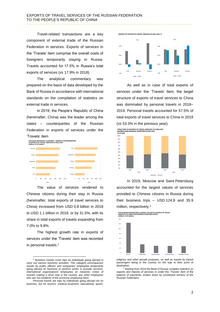Travel-related transactions are a key component of external trade of the Russian Federation in services. Exports of services in the 'Travels' item comprise the overall costs of foreigners temporarily staying in Russia. Travels accounted for 17.5% in Russia's total exports of services (vs 17.9% in 2018).

The analytical commentary was prepared on the basis of data developed by the Bank of Russia in accordance with international standards on the compilation of statistics on external trade in services.

In 2019, the People's Republic of China (hereinafter, China) was the leader among the states – counterparties of the Russian Federation in exports of services under the 'Travels' item.



The value of services rendered to Chinese citizens during their stay in Russia (hereinafter, total exports of travel services to China) increased from USD 0.8 billion in 2018 to USD 1.1 billion in 2019, or by 31.5%, with its share in total exports of travels expanding from 7.0% to 9.8%.

The highest growth rate in exports of services under the 'Travels' item was recorded in personal travels.<sup>1</sup>

l

**GROWTH OF EXPORTS IN TRAVEL SERVICES IN 2018–2019, %**



As well as in case of total exports of services under the 'Travels' item, the target structure of exports of travel services to China was dominated by personal travels in 2018– 2019. Personal travels accounted for 57.5% of total exports of travel services to China in 2019 (vs 53.3% in the previous year).

**STRUCTURE OF EXPORTS OF TRAVEL SERVICES TO CHINA FOR BUSINESS AND PERSONAL PURPOSES IN 2018–2019** *(% of total)*



In 2019, Moscow and Saint Petersburg accounted for the largest values of services provided to Chinese citizens in Russia during their business trips – USD 124.8 and 35.9 million, respectively.<sup>2</sup>

FIVE RUSSIAN REGIONS WITH LARGEST VALUES IN EXPORTS OF TRAVEL<br>SERVICES TO CHINA FOR BUSINESS PURPOSES IN 2019<br>*(millions of US dollars*)



*religious and other private purposes, as well as travels by transit*  passengers being in the country on the way to their point of *destination.*

<sup>1</sup> *Business travels cover trips by individuals going abroad to carry out various business activities. This category encompasses travels by public officers and companies' employees temporarily going abroad on business to perform works or provide services; international organisations' employees on missions; crews of vessels making a short stop in the country; any other employees who are not residents of the economy employing them.*

*Personal travels are trips by individuals going abroad not on business, but for tourism, medical treatment, educational, sports,* 

<sup>2</sup> *Starting from 2019 the Bank of Russia compiles statistics on exports and imports of services in under the 'Travels' item of the balance of payments, broken down by constituent territory of the Russian Federation*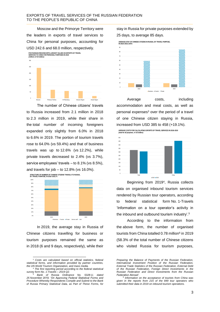## EXPORTS OF TRAVEL SERVICES OF THE RUSSIAN FEDERATION TO THE PEOPLE'S REPUBLIC OF CHINA

Moscow and the Primorye Territory were the leaders in exports of travel services to China for personal purposes, accounting for USD 242.6 and 68.0 million, respectively.



The number of Chinese citizens' travels to Russia increased from 2.1 million in 2018 to 2.3 million in 2019, while their share in the total number of incoming foreigners expanded only slightly from 6.0% in 2018 to 6.6% in 2019. The portion of tourism travels rose to 64.0% (vs 59.4%) and that of business travels was up to 12.6% (vs 12.2%), while private travels decreased to 2.4% (vs 3.7%), service employees' travels – to 8.1% (vs 8.5%), and travels for job – to 12.8% (vs 16.0%).



In 2019, the average stay in Russia of Chinese citizens travelling for business or tourism purposes remained the same as in 2018 (6 and 9 days, respectively), while their

stay in Russia for private purposes extended by 25 days, to average 85 days.





Average costs, including accommodation and meal costs, as well as personal expenses<sup>3</sup> over the period of a travel of one Chinese citizen staying in Russia, increased from USD 385 to 458 (+19.1%).

**AVERAGE COSTS FOR CALCULATING EXPORTS OF TRAVEL SERVICES IN 2018–2019** *(total for all purposes, in US dollars)*



Beginning from 2019<sup>4</sup> , Russia collects data on organised inbound tourism services rendered by Russian tour operators, according to federal statistical form No. 1-Travels 'Information on a tour operator's activity in the inbound and outbound tourism industry'.<sup>5</sup>

According to the information from the above form, the number of organised tourists from China totalled 0.78 million<sup>6</sup> in 2019 (58.3% of the total number of Chinese citizens who visited Russia for tourism purposes,

l <sup>3</sup> *Costs are calculated based on official statistics, federal statistical forms, and information provided by partner countries, the UN World Tourism Organization, and mass media.*

<sup>4</sup> *The first reporting period according to the federal statistical survey form No. 1-Travels – 2019 Q2.*

<sup>5</sup> *Bank of Russia Ordinance No. 5328-U, dated 25 November 2019, 'On Approving Federal Statistical Forms and Procedure Whereby Respondents Compile and Submit to the Bank of Russia Primary Statistical Data, as Part of These Forms, for* 

*Preparing the Balance of Payments of the Russian Federation, International Investment Position of the Russian Federation, External Trade Statistics of the Russian Federation, External Debt of the Russian Federation, Foreign Direct Investments in the Russian Federation and Direct Investments from the Russian Federation Abroad'.*

<sup>6</sup> *Information on the acceptance of tourists from China was given in the reports from 215 of the 849 tour operators who submitted their data in 2019 on inbound tourism operations.*